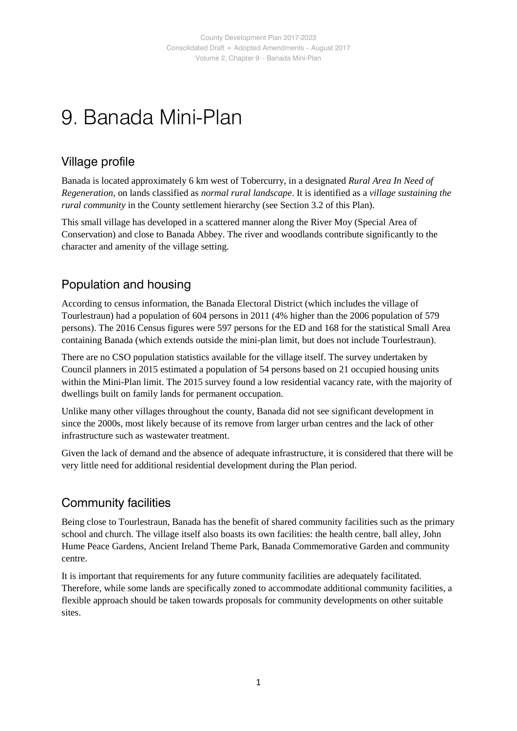## 9. Banada Mini-Plan

#### Village profile

Banada is located approximately 6 km west of Tobercurry, in a designated *Rural Area In Need of Regeneration*, on lands classified as *normal rural landscape*. It is identified as a *village sustaining the rural community* in the County settlement hierarchy (see Section 3.2 of this Plan).

This small village has developed in a scattered manner along the River Moy (Special Area of Conservation) and close to Banada Abbey. The river and woodlands contribute significantly to the character and amenity of the village setting.

#### Population and housing

According to census information, the Banada Electoral District (which includes the village of Tourlestraun) had a population of 604 persons in 2011 (4% higher than the 2006 population of 579 persons). The 2016 Census figures were 597 persons for the ED and 168 for the statistical Small Area containing Banada (which extends outside the mini-plan limit, but does not include Tourlestraun).

There are no CSO population statistics available for the village itself. The survey undertaken by Council planners in 2015 estimated a population of 54 persons based on 21 occupied housing units within the Mini-Plan limit. The 2015 survey found a low residential vacancy rate, with the majority of dwellings built on family lands for permanent occupation.

Unlike many other villages throughout the county, Banada did not see significant development in since the 2000s, most likely because of its remove from larger urban centres and the lack of other infrastructure such as wastewater treatment.

Given the lack of demand and the absence of adequate infrastructure, it is considered that there will be very little need for additional residential development during the Plan period.

#### Community facilities

Being close to Tourlestraun, Banada has the benefit of shared community facilities such as the primary school and church. The village itself also boasts its own facilities: the health centre, ball alley, John Hume Peace Gardens, Ancient Ireland Theme Park, Banada Commemorative Garden and community centre.

It is important that requirements for any future community facilities are adequately facilitated. Therefore, while some lands are specifically zoned to accommodate additional community facilities, a flexible approach should be taken towards proposals for community developments on other suitable sites.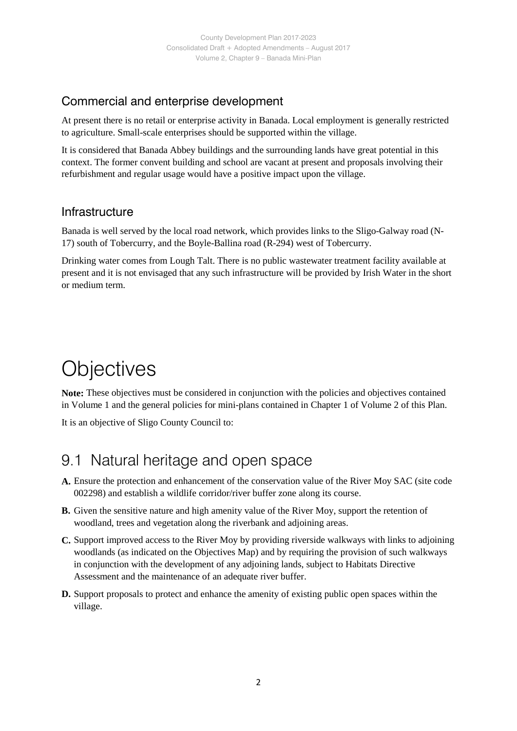#### Commercial and enterprise development

At present there is no retail or enterprise activity in Banada. Local employment is generally restricted to agriculture. Small-scale enterprises should be supported within the village.

It is considered that Banada Abbey buildings and the surrounding lands have great potential in this context. The former convent building and school are vacant at present and proposals involving their refurbishment and regular usage would have a positive impact upon the village.

#### Infrastructure

Banada is well served by the local road network, which provides links to the Sligo-Galway road (N-17) south of Tobercurry, and the Boyle-Ballina road (R-294) west of Tobercurry.

Drinking water comes from Lough Talt. There is no public wastewater treatment facility available at present and it is not envisaged that any such infrastructure will be provided by Irish Water in the short or medium term.

## **Objectives**

**Note:** These objectives must be considered in conjunction with the policies and objectives contained in Volume 1 and the general policies for mini-plans contained in Chapter 1 of Volume 2 of this Plan.

It is an objective of Sligo County Council to:

## 9.1 Natural heritage and open space

- **A.** Ensure the protection and enhancement of the conservation value of the River Moy SAC (site code 002298) and establish a wildlife corridor/river buffer zone along its course.
- **B.** Given the sensitive nature and high amenity value of the River Moy, support the retention of woodland, trees and vegetation along the riverbank and adjoining areas.
- **C.** Support improved access to the River Moy by providing riverside walkways with links to adjoining woodlands (as indicated on the Objectives Map) and by requiring the provision of such walkways in conjunction with the development of any adjoining lands, subject to Habitats Directive Assessment and the maintenance of an adequate river buffer.
- **D.** Support proposals to protect and enhance the amenity of existing public open spaces within the village.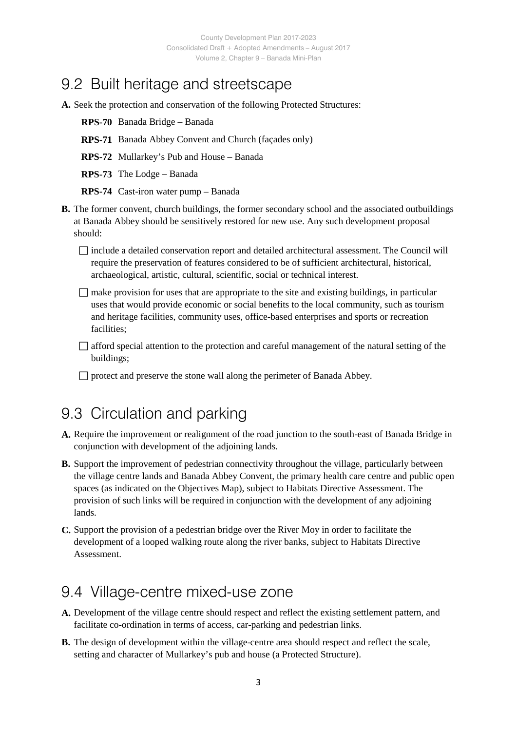## 9.2 Built heritage and streetscape

- **A.** Seek the protection and conservation of the following Protected Structures:
	- **RPS-70** Banada Bridge Banada
	- **RPS-71** Banada Abbey Convent and Church (façades only)
	- **RPS-72** Mullarkey's Pub and House Banada
	- **RPS-73** The Lodge Banada
	- **RPS-74** Cast-iron water pump Banada
- **B.** The former convent, church buildings, the former secondary school and the associated outbuildings at Banada Abbey should be sensitively restored for new use. Any such development proposal should:
	- $\Box$  include a detailed conservation report and detailed architectural assessment. The Council will require the preservation of features considered to be of sufficient architectural, historical, archaeological, artistic, cultural, scientific, social or technical interest.
	- $\Box$  make provision for uses that are appropriate to the site and existing buildings, in particular uses that would provide economic or social benefits to the local community, such as tourism and heritage facilities, community uses, office-based enterprises and sports or recreation facilities;
	- $\Box$  afford special attention to the protection and careful management of the natural setting of the buildings;
	- $\Box$  protect and preserve the stone wall along the perimeter of Banada Abbey.

### 9.3 Circulation and parking

- **A.** Require the improvement or realignment of the road junction to the south-east of Banada Bridge in conjunction with development of the adjoining lands.
- **B.** Support the improvement of pedestrian connectivity throughout the village, particularly between the village centre lands and Banada Abbey Convent, the primary health care centre and public open spaces (as indicated on the Objectives Map), subject to Habitats Directive Assessment. The provision of such links will be required in conjunction with the development of any adjoining lands.
- **C.** Support the provision of a pedestrian bridge over the River Moy in order to facilitate the development of a looped walking route along the river banks, subject to Habitats Directive Assessment.

#### 9.4 Village-centre mixed-use zone

- **A.** Development of the village centre should respect and reflect the existing settlement pattern, and facilitate co-ordination in terms of access, car-parking and pedestrian links.
- **B.** The design of development within the village-centre area should respect and reflect the scale, setting and character of Mullarkey's pub and house (a Protected Structure).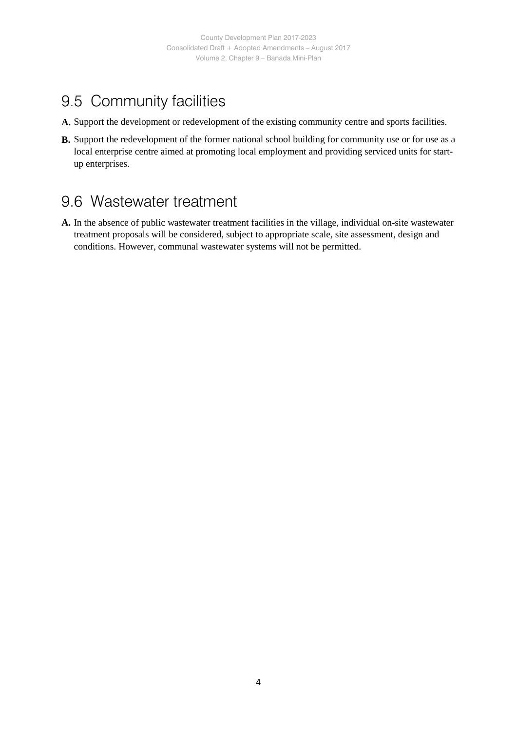## 9.5 Community facilities

- **A.** Support the development or redevelopment of the existing community centre and sports facilities.
- **B.** Support the redevelopment of the former national school building for community use or for use as a local enterprise centre aimed at promoting local employment and providing serviced units for startup enterprises.

### 9.6 Wastewater treatment

**A.** In the absence of public wastewater treatment facilities in the village, individual on-site wastewater treatment proposals will be considered, subject to appropriate scale, site assessment, design and conditions. However, communal wastewater systems will not be permitted.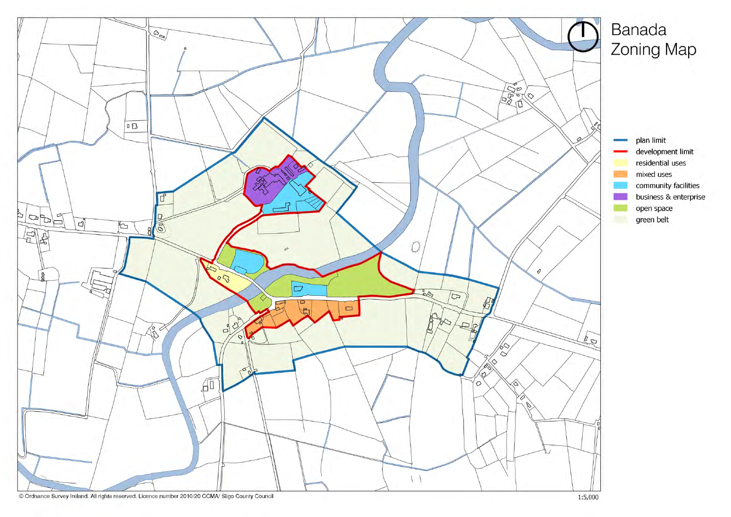

# Banada Zoning Map

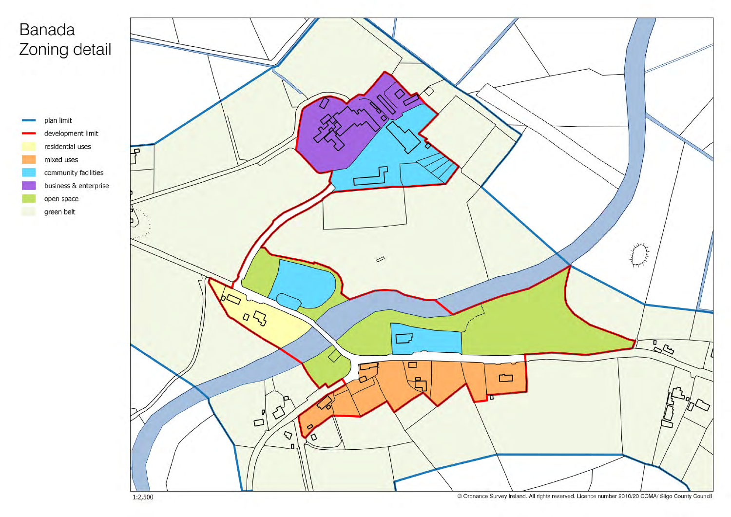# Banada Zoning detail



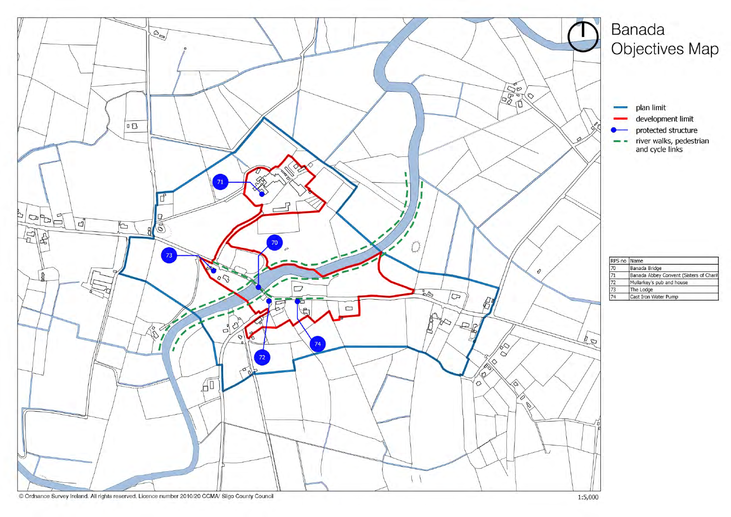